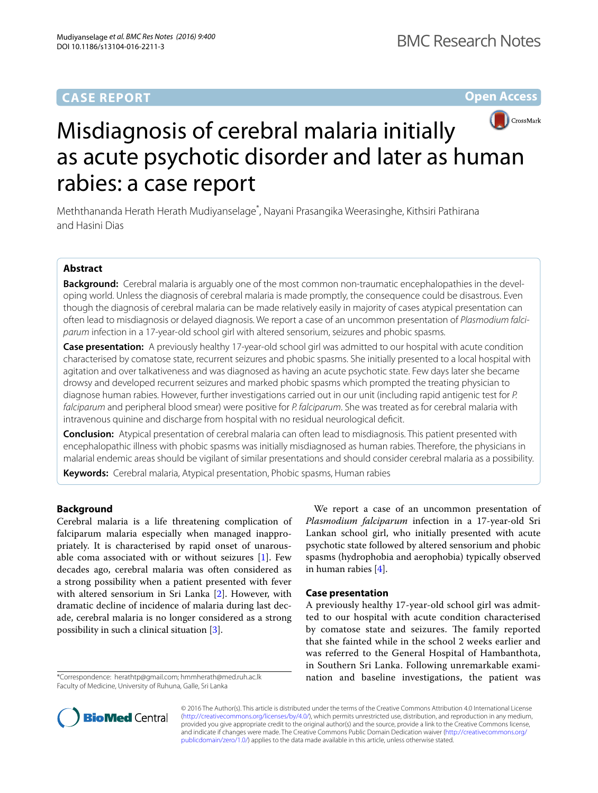# **CASE REPORT**

**Open Access**



# Misdiagnosis of cerebral malaria initially as acute psychotic disorder and later as human rabies: a case report

Meththananda Herath Herath Mudiyanselage<sup>\*</sup>, Nayani Prasangika Weerasinghe, Kithsiri Pathirana and Hasini Dias

## **Abstract**

**Background:** Cerebral malaria is arguably one of the most common non-traumatic encephalopathies in the developing world. Unless the diagnosis of cerebral malaria is made promptly, the consequence could be disastrous. Even though the diagnosis of cerebral malaria can be made relatively easily in majority of cases atypical presentation can often lead to misdiagnosis or delayed diagnosis. We report a case of an uncommon presentation of *Plasmodium falciparum* infection in a 17-year-old school girl with altered sensorium, seizures and phobic spasms.

**Case presentation:** A previously healthy 17-year-old school girl was admitted to our hospital with acute condition characterised by comatose state, recurrent seizures and phobic spasms. She initially presented to a local hospital with agitation and over talkativeness and was diagnosed as having an acute psychotic state. Few days later she became drowsy and developed recurrent seizures and marked phobic spasms which prompted the treating physician to diagnose human rabies. However, further investigations carried out in our unit (including rapid antigenic test for *P. falciparum* and peripheral blood smear) were positive for *P. falciparum*. She was treated as for cerebral malaria with intravenous quinine and discharge from hospital with no residual neurological deficit.

**Conclusion:** Atypical presentation of cerebral malaria can often lead to misdiagnosis. This patient presented with encephalopathic illness with phobic spasms was initially misdiagnosed as human rabies. Therefore, the physicians in malarial endemic areas should be vigilant of similar presentations and should consider cerebral malaria as a possibility.

**Keywords:** Cerebral malaria, Atypical presentation, Phobic spasms, Human rabies

## **Background**

Cerebral malaria is a life threatening complication of falciparum malaria especially when managed inappropriately. It is characterised by rapid onset of unarousable coma associated with or without seizures [[1\]](#page-2-0). Few decades ago, cerebral malaria was often considered as a strong possibility when a patient presented with fever with altered sensorium in Sri Lanka [\[2\]](#page-2-1). However, with dramatic decline of incidence of malaria during last decade, cerebral malaria is no longer considered as a strong possibility in such a clinical situation [[3\]](#page-2-2).

\*Correspondence: herathtp@gmail.com; hmmherath@med.ruh.ac.lk Faculty of Medicine, University of Ruhuna, Galle, Sri Lanka

We report a case of an uncommon presentation of *Plasmodium falciparum* infection in a 17-year-old Sri Lankan school girl, who initially presented with acute psychotic state followed by altered sensorium and phobic spasms (hydrophobia and aerophobia) typically observed in human rabies [[4\]](#page-3-0).

## **Case presentation**

A previously healthy 17-year-old school girl was admitted to our hospital with acute condition characterised by comatose state and seizures. The family reported that she fainted while in the school 2 weeks earlier and was referred to the General Hospital of Hambanthota, in Southern Sri Lanka. Following unremarkable examination and baseline investigations, the patient was



© 2016 The Author(s). This article is distributed under the terms of the Creative Commons Attribution 4.0 International License [\(http://creativecommons.org/licenses/by/4.0/\)](http://creativecommons.org/licenses/by/4.0/), which permits unrestricted use, distribution, and reproduction in any medium, provided you give appropriate credit to the original author(s) and the source, provide a link to the Creative Commons license, and indicate if changes were made. The Creative Commons Public Domain Dedication waiver ([http://creativecommons.org/](http://creativecommons.org/publicdomain/zero/1.0/) [publicdomain/zero/1.0/](http://creativecommons.org/publicdomain/zero/1.0/)) applies to the data made available in this article, unless otherwise stated.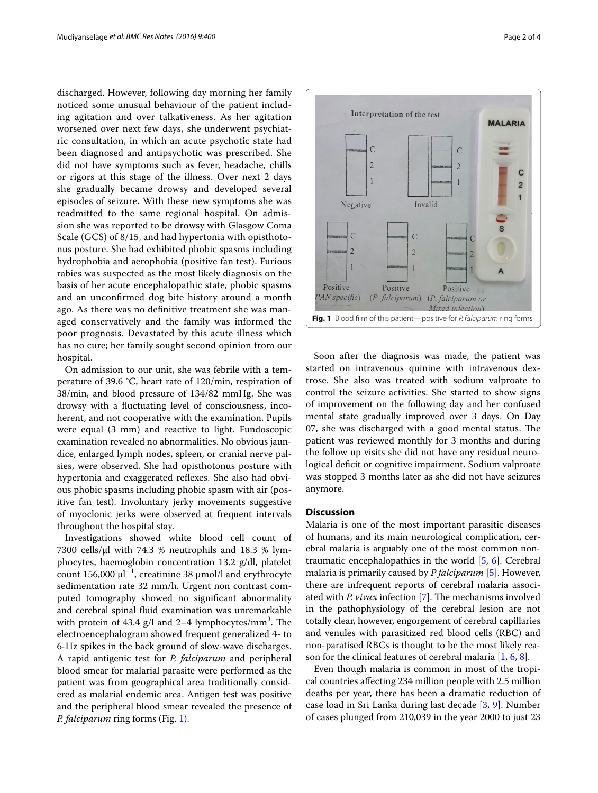discharged. However, following day morning her family noticed some unusual behaviour of the patient including agitation and over talkativeness. As her agitation worsened over next few days, she underwent psychiatric consultation, in which an acute psychotic state had been diagnosed and antipsychotic was prescribed. She did not have symptoms such as fever, headache, chills or rigors at this stage of the illness. Over next 2 days she gradually became drowsy and developed several episodes of seizure. With these new symptoms she was readmitted to the same regional hospital. On admission she was reported to be drowsy with Glasgow Coma Scale (GCS) of 8/15, and had hypertonia with opisthotonus posture. She had exhibited phobic spasms including hydrophobia and aerophobia (positive fan test). Furious rabies was suspected as the most likely diagnosis on the basis of her acute encephalopathic state, phobic spasms and an unconfirmed dog bite history around a month ago. As there was no definitive treatment she was managed conservatively and the family was informed the poor prognosis. Devastated by this acute illness which has no cure; her family sought second opinion from our hospital.

On admission to our unit, she was febrile with a temperature of 39.6 °C, heart rate of 120/min, respiration of 38/min, and blood pressure of 134/82 mmHg. She was drowsy with a fluctuating level of consciousness, incoherent, and not cooperative with the examination. Pupils were equal (3 mm) and reactive to light. Fundoscopic examination revealed no abnormalities. No obvious jaundice, enlarged lymph nodes, spleen, or cranial nerve palsies, were observed. She had opisthotonus posture with hypertonia and exaggerated reflexes. She also had obvious phobic spasms including phobic spasm with air (positive fan test). Involuntary jerky movements suggestive of myoclonic jerks were observed at frequent intervals throughout the hospital stay.

Investigations showed white blood cell count of 7300 cells/ $\mu$ l with 74.3 % neutrophils and 18.3 % lymphocytes, haemoglobin concentration 13.2 g/dl, platelet count 156,000  $\mu$ l<sup>-1</sup>, creatinine 38  $\mu$ mol/l and erythrocyte sedimentation rate 32 mm/h. Urgent non contrast computed tomography showed no significant abnormality and cerebral spinal fluid examination was unremarkable with protein of 43.4 g/l and 2–4 lymphocytes/mm<sup>3</sup>. The electroencephalogram showed frequent generalized 4- to 6-Hz spikes in the back ground of slow-wave discharges. A rapid antigenic test for *P. falciparum* and peripheral blood smear for malarial parasite were performed as the patient was from geographical area traditionally considered as malarial endemic area. Antigen test was positive and the peripheral blood smear revealed the presence of *P. falciparum* ring forms (Fig. [1](#page-1-0)).



<span id="page-1-0"></span>Soon after the diagnosis was made, the patient was started on intravenous quinine with intravenous dextrose. She also was treated with sodium valproate to control the seizure activities. She started to show signs of improvement on the following day and her confused mental state gradually improved over 3 days. On Day 07, she was discharged with a good mental status. The patient was reviewed monthly for 3 months and during the follow up visits she did not have any residual neurological deficit or cognitive impairment. Sodium valproate was stopped 3 months later as she did not have seizures anymore.

## **Discussion**

Malaria is one of the most important parasitic diseases of humans, and its main neurological complication, cerebral malaria is arguably one of the most common nontraumatic encephalopathies in the world  $[5, 6]$  $[5, 6]$  $[5, 6]$ . Cerebral malaria is primarily caused by *P falciparum* [\[5](#page-3-1)]. However, there are infrequent reports of cerebral malaria associated with *P. vivax* infection [\[7](#page-3-3)]. The mechanisms involved in the pathophysiology of the cerebral lesion are not totally clear, however, engorgement of cerebral capillaries and venules with parasitized red blood cells (RBC) and non-paratised RBCs is thought to be the most likely reason for the clinical features of cerebral malaria [[1,](#page-2-0) [6](#page-3-2), [8\]](#page-3-4).

Even though malaria is common in most of the tropical countries affecting 234 million people with 2.5 million deaths per year, there has been a dramatic reduction of case load in Sri Lanka during last decade [[3,](#page-2-2) [9\]](#page-3-5). Number of cases plunged from 210,039 in the year 2000 to just 23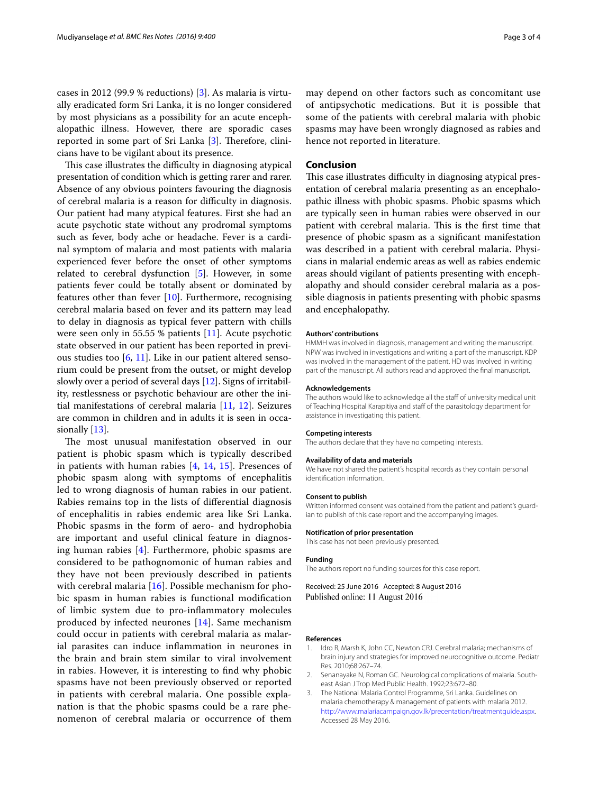cases in 2012 (99.9 % reductions) [\[3](#page-2-2)]. As malaria is virtually eradicated form Sri Lanka, it is no longer considered by most physicians as a possibility for an acute encephalopathic illness. However, there are sporadic cases reported in some part of Sri Lanka [\[3](#page-2-2)]. Therefore, clinicians have to be vigilant about its presence.

This case illustrates the difficulty in diagnosing atypical presentation of condition which is getting rarer and rarer. Absence of any obvious pointers favouring the diagnosis of cerebral malaria is a reason for difficulty in diagnosis. Our patient had many atypical features. First she had an acute psychotic state without any prodromal symptoms such as fever, body ache or headache. Fever is a cardinal symptom of malaria and most patients with malaria experienced fever before the onset of other symptoms related to cerebral dysfunction [\[5](#page-3-1)]. However, in some patients fever could be totally absent or dominated by features other than fever  $[10]$  $[10]$ . Furthermore, recognising cerebral malaria based on fever and its pattern may lead to delay in diagnosis as typical fever pattern with chills were seen only in 55.55 % patients [[11\]](#page-3-7). Acute psychotic state observed in our patient has been reported in previous studies too [[6,](#page-3-2) [11\]](#page-3-7). Like in our patient altered sensorium could be present from the outset, or might develop slowly over a period of several days [\[12](#page-3-8)]. Signs of irritability, restlessness or psychotic behaviour are other the initial manifestations of cerebral malaria [\[11,](#page-3-7) [12\]](#page-3-8). Seizures are common in children and in adults it is seen in occasionally [\[13](#page-3-9)].

The most unusual manifestation observed in our patient is phobic spasm which is typically described in patients with human rabies [[4,](#page-3-0) [14,](#page-3-10) [15\]](#page-3-11). Presences of phobic spasm along with symptoms of encephalitis led to wrong diagnosis of human rabies in our patient. Rabies remains top in the lists of differential diagnosis of encephalitis in rabies endemic area like Sri Lanka. Phobic spasms in the form of aero- and hydrophobia are important and useful clinical feature in diagnosing human rabies [[4](#page-3-0)]. Furthermore, phobic spasms are considered to be pathognomonic of human rabies and they have not been previously described in patients with cerebral malaria  $[16]$  $[16]$ . Possible mechanism for phobic spasm in human rabies is functional modification of limbic system due to pro-inflammatory molecules produced by infected neurones [[14\]](#page-3-10). Same mechanism could occur in patients with cerebral malaria as malarial parasites can induce inflammation in neurones in the brain and brain stem similar to viral involvement in rabies. However, it is interesting to find why phobic spasms have not been previously observed or reported in patients with cerebral malaria. One possible explanation is that the phobic spasms could be a rare phenomenon of cerebral malaria or occurrence of them

may depend on other factors such as concomitant use of antipsychotic medications. But it is possible that some of the patients with cerebral malaria with phobic spasms may have been wrongly diagnosed as rabies and hence not reported in literature.

### **Conclusion**

This case illustrates difficulty in diagnosing atypical presentation of cerebral malaria presenting as an encephalopathic illness with phobic spasms. Phobic spasms which are typically seen in human rabies were observed in our patient with cerebral malaria. This is the first time that presence of phobic spasm as a significant manifestation was described in a patient with cerebral malaria. Physicians in malarial endemic areas as well as rabies endemic areas should vigilant of patients presenting with encephalopathy and should consider cerebral malaria as a possible diagnosis in patients presenting with phobic spasms and encephalopathy.

#### **Authors' contributions**

HMMH was involved in diagnosis, management and writing the manuscript. NPW was involved in investigations and writing a part of the manuscript. KDP was involved in the management of the patient. HD was involved in writing part of the manuscript. All authors read and approved the final manuscript.

#### **Acknowledgements**

The authors would like to acknowledge all the staff of university medical unit of Teaching Hospital Karapitiya and staff of the parasitology department for assistance in investigating this patient.

#### **Competing interests**

The authors declare that they have no competing interests.

#### **Availability of data and materials**

We have not shared the patient's hospital records as they contain personal identification information.

#### **Consent to publish**

Written informed consent was obtained from the patient and patient's guardian to publish of this case report and the accompanying images.

## **Notification of prior presentation**

This case has not been previously presented.

#### **Funding**

The authors report no funding sources for this case report.

Received: 25 June 2016 Accepted: 8 August 2016 Published online: 11 August 2016

#### **References**

- <span id="page-2-0"></span>1. Idro R, Marsh K, John CC, Newton CRJ. Cerebral malaria; mechanisms of brain injury and strategies for improved neurocognitive outcome. Pediatr Res. 2010;68:267–74.
- <span id="page-2-1"></span>2. Senanayake N, Roman GC. Neurological complications of malaria. Southeast Asian J Trop Med Public Health. 1992;23:672–80.
- <span id="page-2-2"></span>3. The National Malaria Control Programme, Sri Lanka. Guidelines on malaria chemotherapy & management of patients with malaria 2012. [http://www.malariacampaign.gov.lk/precentation/treatmentguide.aspx.](http://www.malariacampaign.gov.lk/precentation/treatmentguide.aspx) Accessed 28 May 2016.